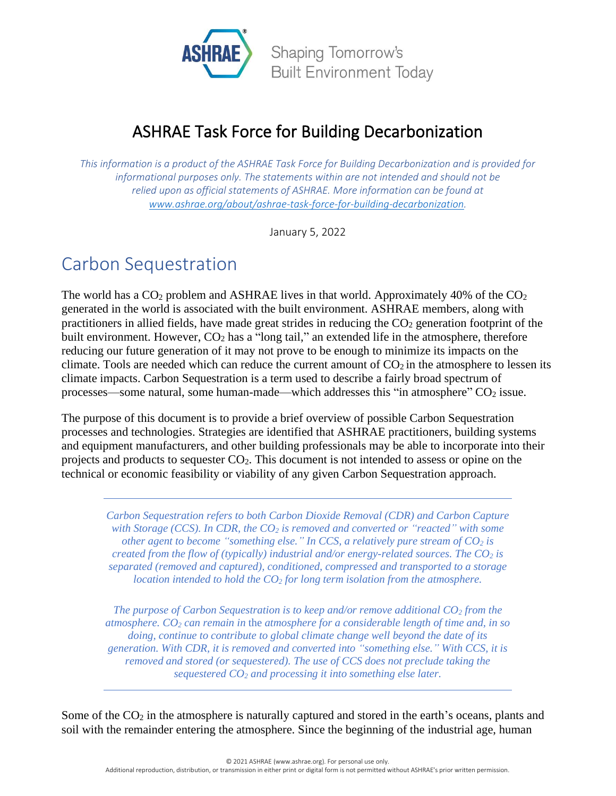

#### ASHRAE Task Force for Building Decarbonization

*This information is a product of the ASHRAE Task Force for Building Decarbonization and is provided for informational purposes only. The statements within are not intended and should not be relied upon as official statements of ASHRAE. More information can be found at [www.ashrae.org/about/ashrae-task-force-for-building-decarbonization.](http://www.ashrae.org/about/ashrae-task-force-for-building-decarbonization)*

January 5, 2022

#### Carbon Sequestration

The world has a  $CO<sub>2</sub>$  problem and ASHRAE lives in that world. Approximately 40% of the  $CO<sub>2</sub>$ generated in the world is associated with the built environment. ASHRAE members, along with practitioners in allied fields, have made great strides in reducing the  $CO<sub>2</sub>$  generation footprint of the built environment. However,  $CO<sub>2</sub>$  has a "long tail," an extended life in the atmosphere, therefore reducing our future generation of it may not prove to be enough to minimize its impacts on the climate. Tools are needed which can reduce the current amount of  $CO<sub>2</sub>$  in the atmosphere to lessen its climate impacts. Carbon Sequestration is a term used to describe a fairly broad spectrum of processes—some natural, some human-made—which addresses this "in atmosphere"  $CO<sub>2</sub>$  issue.

The purpose of this document is to provide a brief overview of possible Carbon Sequestration processes and technologies. Strategies are identified that ASHRAE practitioners, building systems and equipment manufacturers, and other building professionals may be able to incorporate into their projects and products to sequester CO2. This document is not intended to assess or opine on the technical or economic feasibility or viability of any given Carbon Sequestration approach.

*Carbon Sequestration refers to both Carbon Dioxide Removal (CDR) and Carbon Capture with Storage (CCS). In CDR, the CO<sup>2</sup> is removed and converted or "reacted" with some other agent to become "something else." In CCS, a relatively pure stream of CO<sup>2</sup> is created from the flow of (typically) industrial and/or energy-related sources. The CO<sup>2</sup> is separated (removed and captured), conditioned, compressed and transported to a storage location intended to hold the CO<sup>2</sup> for long term isolation from the atmosphere.* 

*The purpose of Carbon Sequestration is to keep and/or remove additional CO<sup>2</sup> from the atmosphere. CO<sup>2</sup> can remain in* the *atmosphere for a considerable length of time and, in so doing, continue to contribute to global climate change well beyond the date of its generation. With CDR, it is removed and converted into "something else." With CCS, it is removed and stored (or sequestered). The use of CCS does not preclude taking the sequestered CO<sup>2</sup> and processing it into something else later.* 

Some of the  $CO<sub>2</sub>$  in the atmosphere is naturally captured and stored in the earth's oceans, plants and soil with the remainder entering the atmosphere. Since the beginning of the industrial age, human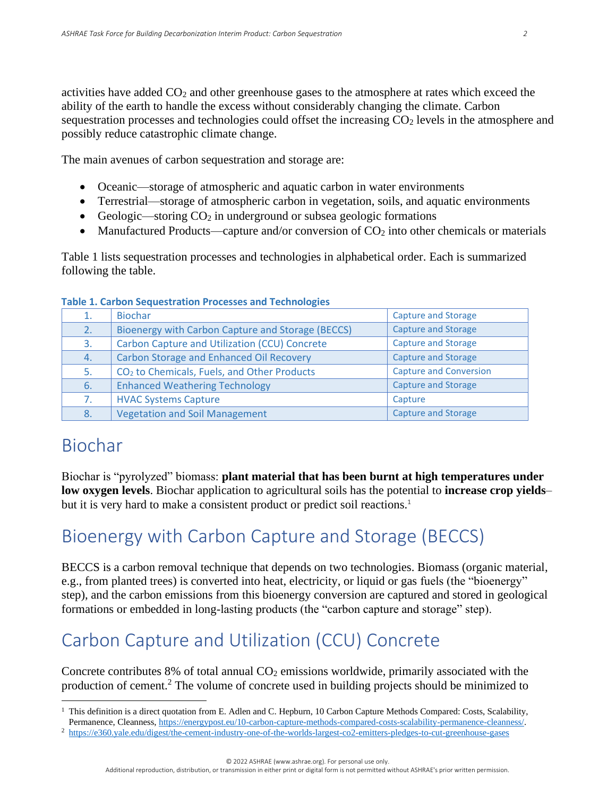activities have added  $CO<sub>2</sub>$  and other greenhouse gases to the atmosphere at rates which exceed the ability of the earth to handle the excess without considerably changing the climate. Carbon sequestration processes and technologies could offset the increasing  $CO<sub>2</sub>$  levels in the atmosphere and possibly reduce catastrophic climate change.

The main avenues of carbon sequestration and storage are:

- Oceanic—storage of atmospheric and aquatic carbon in water environments
- Terrestrial—storage of atmospheric carbon in vegetation, soils, and aquatic environments
- Geologic—storing  $CO<sub>2</sub>$  in underground or subsea geologic formations
- Manufactured Products—capture and/or conversion of  $CO<sub>2</sub>$  into other chemicals or materials

Table 1 lists sequestration processes and technologies in alphabetical order. Each is summarized following the table.

| 1. | <b>Biochar</b>                                          | <b>Capture and Storage</b>    |
|----|---------------------------------------------------------|-------------------------------|
| 2. | Bioenergy with Carbon Capture and Storage (BECCS)       | <b>Capture and Storage</b>    |
| 3. | <b>Carbon Capture and Utilization (CCU) Concrete</b>    | <b>Capture and Storage</b>    |
| 4. | <b>Carbon Storage and Enhanced Oil Recovery</b>         | <b>Capture and Storage</b>    |
| 5. | CO <sub>2</sub> to Chemicals, Fuels, and Other Products | <b>Capture and Conversion</b> |
| 6. | <b>Enhanced Weathering Technology</b>                   | <b>Capture and Storage</b>    |
| 7. | <b>HVAC Systems Capture</b>                             | Capture                       |
| 8. | <b>Vegetation and Soil Management</b>                   | <b>Capture and Storage</b>    |

#### **Table 1. Carbon Sequestration Processes and Technologies**

#### Biochar

Biochar is "pyrolyzed" biomass: **plant material that has been burnt at high temperatures under low oxygen levels**. Biochar application to agricultural soils has the potential to **increase crop yields**– but it is very hard to make a consistent product or predict soil reactions.<sup>1</sup>

### Bioenergy with Carbon Capture and Storage [\(BECCS\)](https://www.carbonbrief.org/beccs-the-story-of-climate-changes-saviour-technology)

BECCS is a [carbon removal](https://www.american.edu/sis/centers/carbon-removal/fact-carbon-removal.cfm) technique that depends on two technologies. Biomass (organic material, e.g., from planted trees) is converted into heat, electricity, or liquid or gas fuels (the "bioenergy" step), and the carbon emissions from this bioenergy conversion are captured and stored in geological formations or embedded in long-lasting products (the "carbon capture and storage" step).

# Carbon Capture and Utilization (CCU) Concrete

Concrete contributes 8% of total annual  $CO<sub>2</sub>$  emissions worldwide, primarily associated with the production of cement.<sup>2</sup> The volume of concrete used in building projects should be minimized to

<sup>2</sup> <https://e360.yale.edu/digest/the-cement-industry-one-of-the-worlds-largest-co2-emitters-pledges-to-cut-greenhouse-gases>

<sup>1</sup> This definition is a direct quotation from E. Adlen and C. Hepburn, 10 Carbon Capture Methods Compared: Costs, Scalability, Permanence, Cleanness, [https://energypost.eu/10-carbon-capture-methods-compared-costs-scalability-permanence-cleanness/.](https://energypost.eu/10-carbon-capture-methods-compared-costs-scalability-permanence-cleanness/)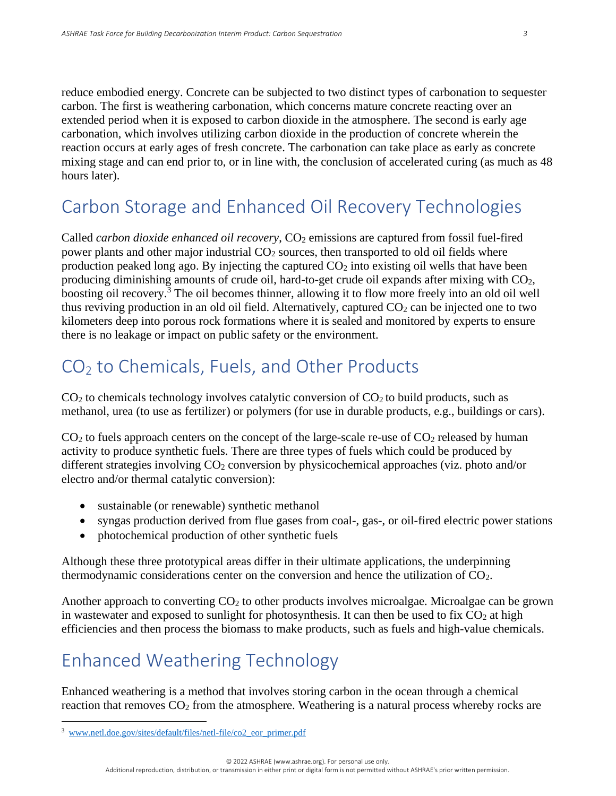reduce embodied energy. Concrete can be subjected to two distinct types of carbonation to sequester carbon. The first is weathering carbonation, which concerns mature concrete reacting over an extended period when it is exposed to carbon dioxide in the atmosphere. The second is early age carbonation, which involves utilizing carbon dioxide in the production of concrete wherein the reaction occurs at early ages of fresh concrete. The carbonation can take place as early as concrete mixing stage and can end prior to, or in line with, the conclusion of accelerated curing (as much as 48 hours later).

### Carbon Storage and Enhanced Oil Recovery Technologies

Called *carbon dioxide enhanced oil recovery*, CO<sub>2</sub> emissions are captured from fossil fuel-fired power plants and other major industrial CO<sub>2</sub> sources, then transported to old oil fields where production peaked long ago. By injecting the captured  $CO<sub>2</sub>$  into existing oil wells that have been producing diminishing amounts of crude oil, hard-to-get crude oil expands after mixing with CO2, boosting oil recovery. <sup>3</sup> The oil becomes thinner, allowing it to flow more freely into an old oil well thus reviving production in an old oil field. Alternatively, captured  $CO<sub>2</sub>$  can be injected one to two kilometers deep into porous rock formations where it is sealed and monitored by experts to ensure there is no leakage or impact on public safety or the environment.

# CO<sup>2</sup> to Chemicals, Fuels, and Other Products

 $CO<sub>2</sub>$  to chemicals technology involves catalytic conversion of  $CO<sub>2</sub>$  to build products, such as methanol, urea (to use as fertilizer) or polymers (for use in durable products, e.g., buildings or cars).

 $CO<sub>2</sub>$  to fuels approach centers on the concept of the large-scale re-use of  $CO<sub>2</sub>$  released by human activity to produce synthetic fuels. There are three types of fuels which could be produced by different strategies involving CO<sub>2</sub> conversion by physicochemical approaches (viz. photo and/or electro and/or thermal catalytic conversion):

- sustainable (or renewable) synthetic methanol
- syngas production derived from flue gases from coal-, gas-, or oil-fired electric power stations
- photochemical production of other synthetic fuels

Although these three prototypical areas differ in their ultimate applications, the underpinning thermodynamic considerations center on the conversion and hence the utilization of CO2.

Another approach to converting  $CO<sub>2</sub>$  to other products involves microalgae. Microalgae can be grown in wastewater and exposed to sunlight for photosynthesis. It can then be used to fix  $CO<sub>2</sub>$  at high efficiencies and then process the biomass to make products, such as fuels and high-value chemicals.

# Enhanced Weathering Technology

Enhanced weathering is a method that involves storing carbon in the ocean through a chemical reaction that removes  $CO<sub>2</sub>$  from the atmosphere. Weathering is a natural process whereby rocks are

<sup>3</sup> [www.netl.doe.gov/sites/default/files/netl-file/co2\\_eor\\_primer.pdf](http://www.netl.doe.gov/sites/default/files/netl-file/co2_eor_primer.pdf)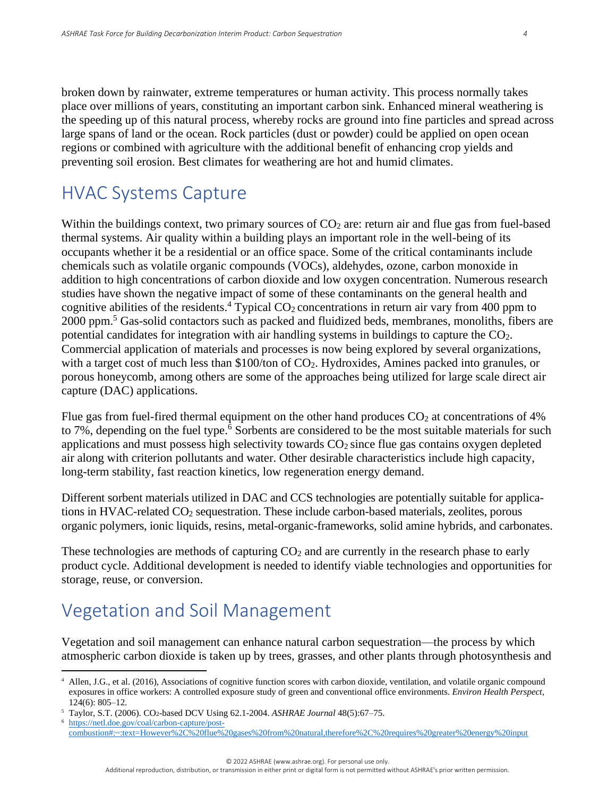broken down by rainwater, extreme temperatures or human activity. This process normally takes place over millions of years, constituting an important carbon sink. Enhanced mineral weathering is the speeding up of this natural process, whereby rocks are ground into fine particles and spread across large spans of land or the ocean. Rock particles (dust or powder) could be applied on open ocean regions or combined with agriculture with the additional benefit of enhancing crop yields and preventing soil erosion. Best climates for weathering are hot and humid climates.

#### HVAC Systems Capture

Within the buildings context, two primary sources of  $CO<sub>2</sub>$  are: return air and flue gas from fuel-based thermal systems. Air quality within a building plays an important role in the well-being of its occupants whether it be a residential or an office space. Some of the critical contaminants include chemicals such as volatile organic compounds (VOCs), aldehydes, ozone, carbon monoxide in addition to high concentrations of carbon dioxide and low oxygen concentration. Numerous research studies have shown the negative impact of some of these contaminants on the general health and cognitive abilities of the residents.<sup>4</sup> Typical  $CO_2$  concentrations in return air vary from 400 ppm to 2000 ppm.<sup>5</sup> Gas-solid contactors such as packed and fluidized beds, membranes, monoliths, fibers are potential candidates for integration with air handling systems in buildings to capture the CO2. Commercial application of materials and processes is now being explored by several organizations, with a target cost of much less than \$100/ton of CO<sub>2</sub>. Hydroxides, Amines packed into granules, or porous honeycomb, among others are some of the approaches being utilized for large scale direct air capture (DAC) applications.

Flue gas from fuel-fired thermal equipment on the other hand produces  $CO<sub>2</sub>$  at concentrations of 4% to 7%, depending on the fuel type.<sup>6</sup> Sorbents are considered to be the most suitable materials for such applications and must possess high selectivity towards  $CO<sub>2</sub>$  since flue gas contains oxygen depleted air along with criterion pollutants and water. Other desirable characteristics include high capacity, long-term stability, fast reaction kinetics, low regeneration energy demand.

Different sorbent materials utilized in DAC and CCS technologies are potentially suitable for applications in HVAC-related CO<sup>2</sup> sequestration. These include carbon-based materials, zeolites, porous organic polymers, ionic liquids, resins, metal-organic-frameworks, solid amine hybrids, and carbonates.

These technologies are methods of capturing  $CO<sub>2</sub>$  and are currently in the research phase to early product cycle. Additional development is needed to identify viable technologies and opportunities for storage, reuse, or conversion.

# Vegetation and Soil Management

Vegetation and soil management can enhance natural carbon sequestration—the process by which atmospheric carbon dioxide is taken up by trees, grasses, and other plants through photosynthesis and

<sup>4</sup> Allen, J.G., et al. (2016), Associations of cognitive function scores with carbon dioxide, ventilation, and volatile organic compound exposures in office workers: A controlled exposure study of green and conventional office environments. *Environ Health Perspect*, 124(6): 805–12.

<sup>5</sup> Taylor, S.T. (2006). CO2-based DCV Using 62.1-2004. *ASHRAE Journal* 48(5):67–75.

[https://netl.doe.gov/coal/carbon-capture/post](https://netl.doe.gov/coal/carbon-capture/post-combustion#:~:text=However%2C%20flue%20gases%20from%20natural,therefore%2C%20requires%20greater%20energy%20input)[combustion#:~:text=However%2C%20flue%20gases%20from%20natural,therefore%2C%20requires%20greater%20energy%20input](https://netl.doe.gov/coal/carbon-capture/post-combustion#:~:text=However%2C%20flue%20gases%20from%20natural,therefore%2C%20requires%20greater%20energy%20input)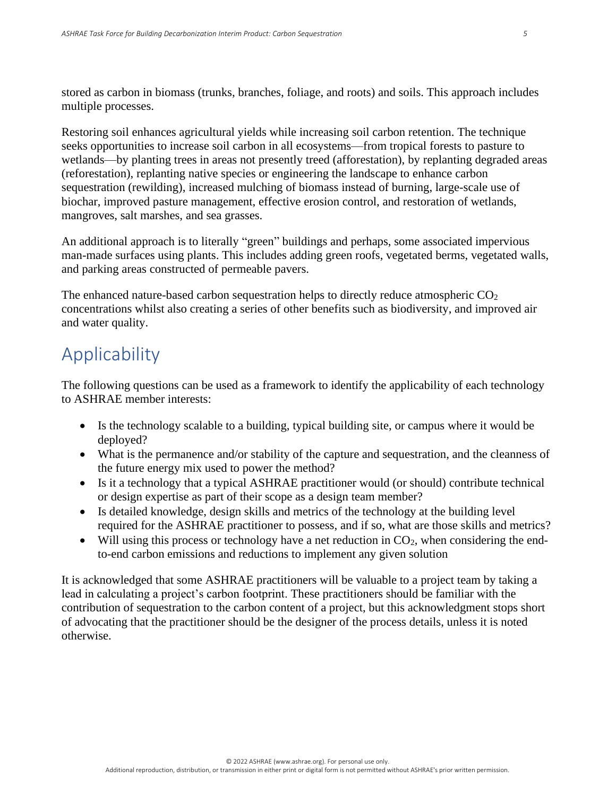stored as carbon in biomass (trunks, branches, foliage, and roots) and soils. This approach includes multiple processes.

Restoring soil enhances agricultural yields while increasing soil carbon retention. The technique seeks opportunities to increase soil carbon in all ecosystems—from tropical forests to pasture to wetlands—by planting trees in areas not presently treed (afforestation), by replanting degraded areas (reforestation), replanting native species or engineering the landscape to enhance carbon sequestration (rewilding), increased mulching of biomass instead of burning, large-scale use of biochar, improved pasture management, effective erosion control, and restoration of wetlands, mangroves, salt marshes, and sea grasses.

An additional approach is to literally "green" buildings and perhaps, some associated impervious man-made surfaces using plants. This includes adding green roofs, vegetated berms, vegetated walls, and parking areas constructed of permeable pavers.

The enhanced nature-based carbon sequestration helps to directly reduce atmospheric  $CO<sub>2</sub>$ concentrations whilst also creating a series of other benefits such as biodiversity, and improved air and water quality.

#### Applicability

The following questions can be used as a framework to identify the applicability of each technology to ASHRAE member interests:

- Is the technology scalable to a building, typical building site, or campus where it would be deployed?
- What is the permanence and/or stability of the capture and sequestration, and the cleanness of the future energy mix used to power the method?
- Is it a technology that a typical ASHRAE practitioner would (or should) contribute technical or design expertise as part of their scope as a design team member?
- Is detailed knowledge, design skills and metrics of the technology at the building level required for the ASHRAE practitioner to possess, and if so, what are those skills and metrics?
- Will using this process or technology have a net reduction in  $CO<sub>2</sub>$ , when considering the endto-end carbon emissions and reductions to implement any given solution

It is acknowledged that some ASHRAE practitioners will be valuable to a project team by taking a lead in calculating a project's carbon footprint. These practitioners should be familiar with the contribution of sequestration to the carbon content of a project, but this acknowledgment stops short of advocating that the practitioner should be the designer of the process details, unless it is noted otherwise.